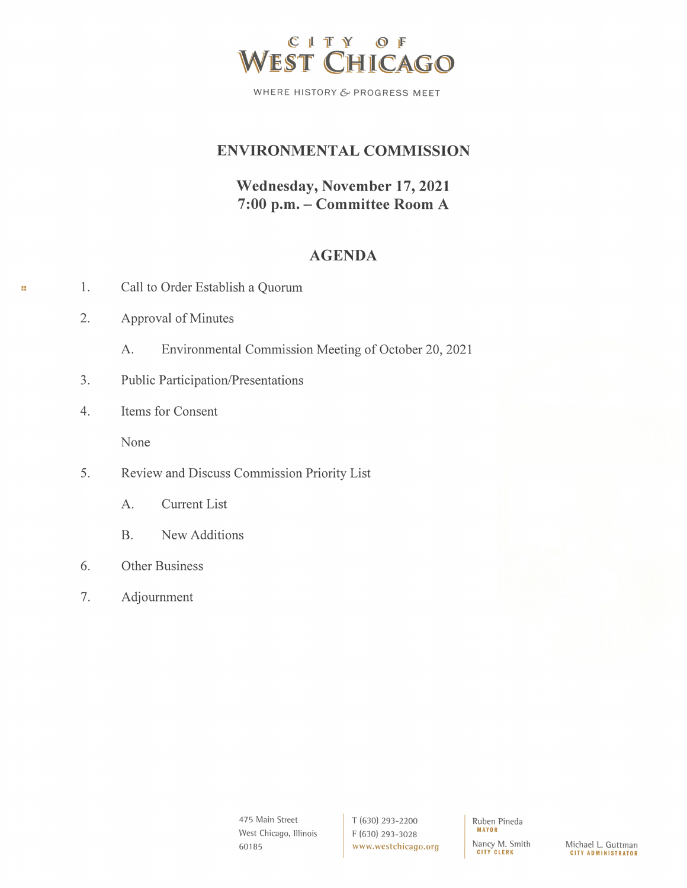

WHERE HISTORY & PROGRESS MEET

## **ENVIRONMENTAL COMMISSION**

# Wednesday, November 17, 2021 7:00 p.m. - Committee Room A

## **AGENDA**

| -1. |  |  |  | Call to Order Establish a Quorum |  |  |
|-----|--|--|--|----------------------------------|--|--|
|-----|--|--|--|----------------------------------|--|--|

2. Approval of Minutes

35

- A. Environmental Commission Meeting of October 20, 2021
- Public Participation/Presentations  $3.$
- Items for Consent  $4.$

None

- 5. Review and Discuss Commission Priority List
	- **Current List** А.
	- **B.** New Additions
- Other Business 6.
- 7. Adjournment

475 Main Street West Chicago, Illinois 60185

T (630) 293-2200 F (630) 293-3028 www.westchicago.org Ruben Pineda **MAYOR** Nancy M. Smith **CITY CLERK** 

Michael L. Guttman<br>CITY ADMINISTRATOR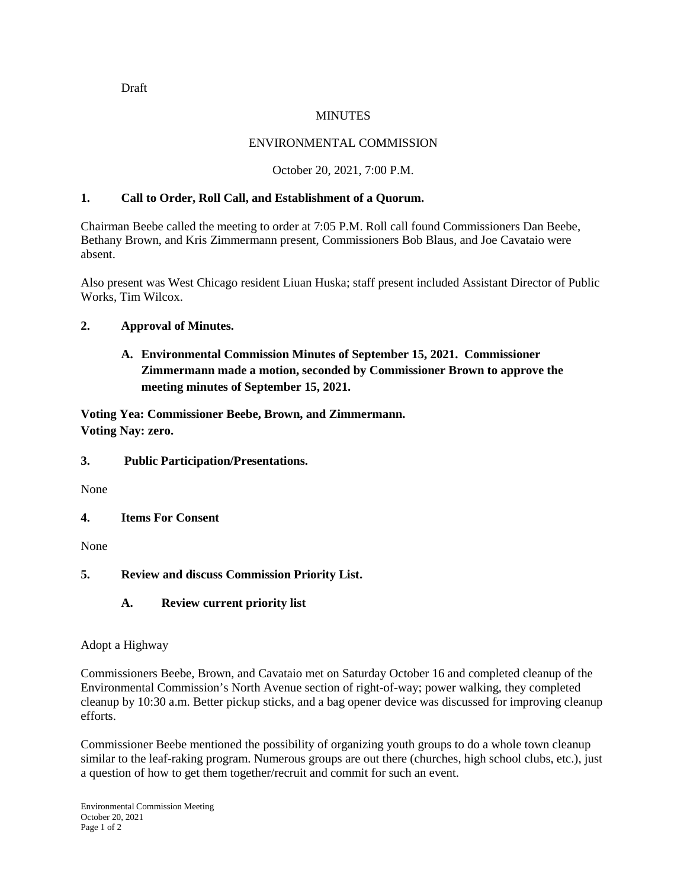Draft

#### MINUTES

## ENVIRONMENTAL COMMISSION

### October 20, 2021, 7:00 P.M.

#### **1. Call to Order, Roll Call, and Establishment of a Quorum.**

Chairman Beebe called the meeting to order at 7:05 P.M. Roll call found Commissioners Dan Beebe, Bethany Brown, and Kris Zimmermann present, Commissioners Bob Blaus, and Joe Cavataio were absent.

Also present was West Chicago resident Liuan Huska; staff present included Assistant Director of Public Works, Tim Wilcox.

## **2. Approval of Minutes.**

**A. Environmental Commission Minutes of September 15, 2021. Commissioner Zimmermann made a motion, seconded by Commissioner Brown to approve the meeting minutes of September 15, 2021.** 

**Voting Yea: Commissioner Beebe, Brown, and Zimmermann. Voting Nay: zero.**

#### **3. Public Participation/Presentations.**

None

**4. Items For Consent**

None

**5. Review and discuss Commission Priority List.**

#### **A. Review current priority list**

Adopt a Highway

Commissioners Beebe, Brown, and Cavataio met on Saturday October 16 and completed cleanup of the Environmental Commission's North Avenue section of right-of-way; power walking, they completed cleanup by 10:30 a.m. Better pickup sticks, and a bag opener device was discussed for improving cleanup efforts.

Commissioner Beebe mentioned the possibility of organizing youth groups to do a whole town cleanup similar to the leaf-raking program. Numerous groups are out there (churches, high school clubs, etc.), just a question of how to get them together/recruit and commit for such an event.